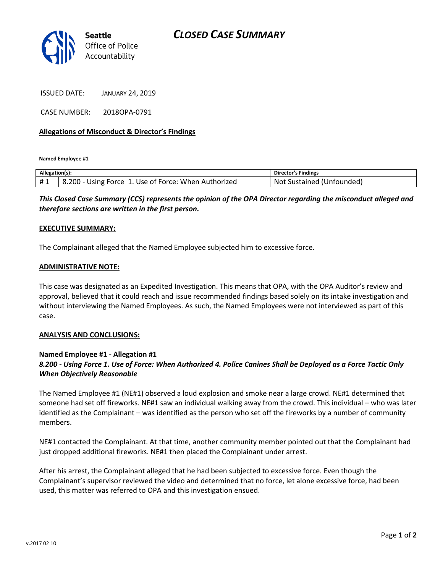## *CLOSED CASE SUMMARY*



ISSUED DATE: JANUARY 24, 2019

CASE NUMBER: 2018OPA-0791

### **Allegations of Misconduct & Director's Findings**

**Named Employee #1**

| Allegation(s): |                                                      | <b>Director's Findings</b> |
|----------------|------------------------------------------------------|----------------------------|
| #1             | 8.200 - Using Force 1. Use of Force: When Authorized | Not Sustained (Unfounded)  |

*This Closed Case Summary (CCS) represents the opinion of the OPA Director regarding the misconduct alleged and therefore sections are written in the first person.* 

#### **EXECUTIVE SUMMARY:**

The Complainant alleged that the Named Employee subjected him to excessive force.

#### **ADMINISTRATIVE NOTE:**

This case was designated as an Expedited Investigation. This means that OPA, with the OPA Auditor's review and approval, believed that it could reach and issue recommended findings based solely on its intake investigation and without interviewing the Named Employees. As such, the Named Employees were not interviewed as part of this case.

#### **ANALYSIS AND CONCLUSIONS:**

## **Named Employee #1 - Allegation #1** *8.200 - Using Force 1. Use of Force: When Authorized 4. Police Canines Shall be Deployed as a Force Tactic Only When Objectively Reasonable*

The Named Employee #1 (NE#1) observed a loud explosion and smoke near a large crowd. NE#1 determined that someone had set off fireworks. NE#1 saw an individual walking away from the crowd. This individual – who was later identified as the Complainant – was identified as the person who set off the fireworks by a number of community members.

NE#1 contacted the Complainant. At that time, another community member pointed out that the Complainant had just dropped additional fireworks. NE#1 then placed the Complainant under arrest.

After his arrest, the Complainant alleged that he had been subjected to excessive force. Even though the Complainant's supervisor reviewed the video and determined that no force, let alone excessive force, had been used, this matter was referred to OPA and this investigation ensued.